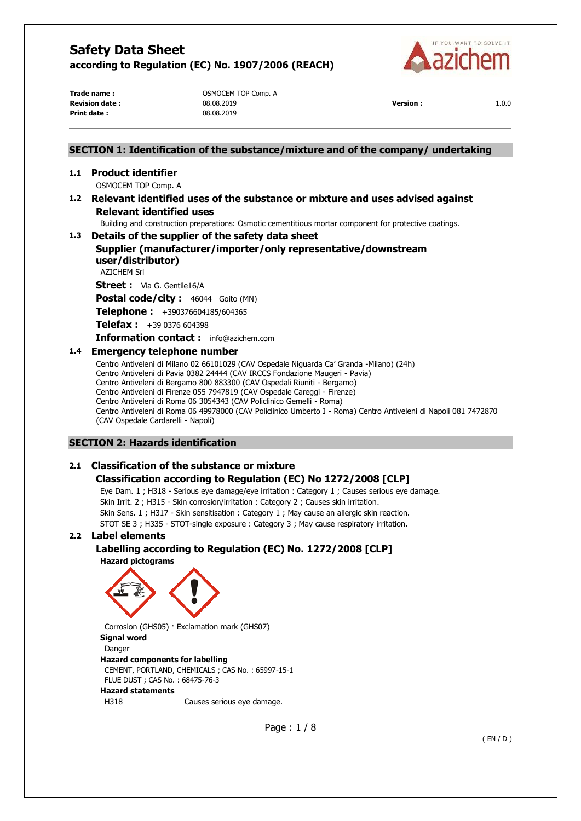

**Print date :** 08.08.2019

**Trade name :** OSMOCEM TOP Comp. A **Revision date :** 08.08.2019 **Version :** 1.0.0

# **SECTION 1: Identification of the substance/mixture and of the company/ undertaking 1.1 Product identifier**  OSMOCEM TOP Comp. A **1.2 Relevant identified uses of the substance or mixture and uses advised against Relevant identified uses**  Building and construction preparations: Osmotic cementitious mortar component for protective coatings. **1.3 Details of the supplier of the safety data sheet Supplier (manufacturer/importer/only representative/downstream user/distributor)**  AZICHEM Srl **Street :** Via G. Gentile16/A **Postal code/city :** 46044 Goito (MN) **Telephone :** +390376604185/604365 **Telefax :** +39 0376 604398 **Information contact :** info@azichem.com **1.4 Emergency telephone number**  Centro Antiveleni di Milano 02 66101029 (CAV Ospedale Niguarda Ca' Granda -Milano) (24h)

Centro Antiveleni di Pavia 0382 24444 (CAV IRCCS Fondazione Maugeri - Pavia) Centro Antiveleni di Bergamo 800 883300 (CAV Ospedali Riuniti - Bergamo) Centro Antiveleni di Firenze 055 7947819 (CAV Ospedale Careggi - Firenze) Centro Antiveleni di Roma 06 3054343 (CAV Policlinico Gemelli - Roma) Centro Antiveleni di Roma 06 49978000 (CAV Policlinico Umberto I - Roma) Centro Antiveleni di Napoli 081 7472870 (CAV Ospedale Cardarelli - Napoli)

## **SECTION 2: Hazards identification**

## **2.1 Classification of the substance or mixture**

# **Classification according to Regulation (EC) No 1272/2008 [CLP]**

Eye Dam. 1 ; H318 - Serious eye damage/eye irritation : Category 1 ; Causes serious eye damage. Skin Irrit. 2 ; H315 - Skin corrosion/irritation : Category 2 ; Causes skin irritation. Skin Sens. 1 ; H317 - Skin sensitisation : Category 1 ; May cause an allergic skin reaction. STOT SE 3 ; H335 - STOT-single exposure : Category 3 ; May cause respiratory irritation.

### **2.2 Label elements**

**Labelling according to Regulation (EC) No. 1272/2008 [CLP]** 





Corrosion (GHS05) · Exclamation mark (GHS07) **Signal word**  Danger **Hazard components for labelling**  CEMENT, PORTLAND, CHEMICALS ; CAS No. : 65997-15-1 FLUE DUST ; CAS No. : 68475-76-3 **Hazard statements**  H318 Causes serious eye damage.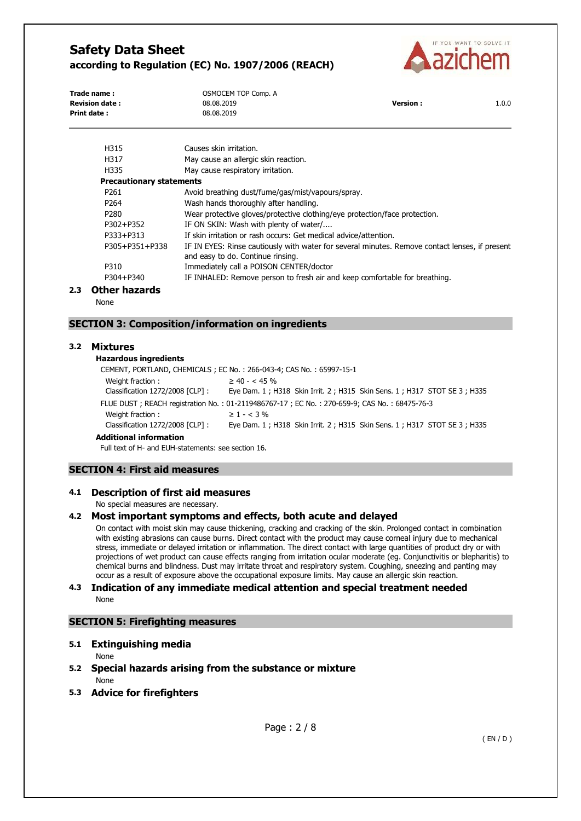

| Trade name:           | OSMOCEM TOP Comp. A |                 |       |
|-----------------------|---------------------|-----------------|-------|
| <b>Revision date:</b> | 08.08.2019          | <b>Version:</b> | 1.0.0 |
| <b>Print date:</b>    | 08.08.2019          |                 |       |

| H315                            | Causes skin irritation.                                                                                                             |
|---------------------------------|-------------------------------------------------------------------------------------------------------------------------------------|
| H317                            | May cause an allergic skin reaction.                                                                                                |
| H335                            | May cause respiratory irritation.                                                                                                   |
| <b>Precautionary statements</b> |                                                                                                                                     |
| P <sub>261</sub>                | Avoid breathing dust/fume/gas/mist/vapours/spray.                                                                                   |
| P <sub>264</sub>                | Wash hands thoroughly after handling.                                                                                               |
| P <sub>280</sub>                | Wear protective gloves/protective clothing/eye protection/face protection.                                                          |
| P302+P352                       | IF ON SKIN: Wash with plenty of water/                                                                                              |
| P333+P313                       | If skin irritation or rash occurs: Get medical advice/attention.                                                                    |
| P305+P351+P338                  | IF IN EYES: Rinse cautiously with water for several minutes. Remove contact lenses, if present<br>and easy to do. Continue rinsing. |
| P310                            | Immediately call a POISON CENTER/doctor                                                                                             |
| P304+P340                       | IF INHALED: Remove person to fresh air and keep comfortable for breathing.                                                          |
| مامعددهما عمماء                 |                                                                                                                                     |

#### **2.3 Other hazards**

None

#### **SECTION 3: Composition/information on ingredients**

#### **3.2 Mixtures**

### **Hazardous ingredients**

CEMENT, PORTLAND, CHEMICALS ; EC No. : 266-043-4; CAS No. : 65997-15-1 Weight fraction :  $\geq 40 - < 45\%$ Classification 1272/2008 [CLP] : Eye Dam. 1 ; H318 Skin Irrit. 2 ; H315 Skin Sens. 1 ; H317 STOT SE 3 ; H335 FLUE DUST ; REACH registration No. : 01-2119486767-17 ; EC No. : 270-659-9; CAS No. : 68475-76-3 Weight fraction :  $\geq 1 - 3\%$ Classification 1272/2008 [CLP] : Eye Dam. 1 ; H318 Skin Irrit. 2 ; H315 Skin Sens. 1 ; H317 STOT SE 3 ; H335 **Additional information**

Full text of H- and EUH-statements: see section 16.

#### **SECTION 4: First aid measures**

#### **4.1 Description of first aid measures**

No special measures are necessary.

#### **4.2 Most important symptoms and effects, both acute and delayed**

On contact with moist skin may cause thickening, cracking and cracking of the skin. Prolonged contact in combination with existing abrasions can cause burns. Direct contact with the product may cause corneal injury due to mechanical stress, immediate or delayed irritation or inflammation. The direct contact with large quantities of product dry or with projections of wet product can cause effects ranging from irritation ocular moderate (eg. Conjunctivitis or blepharitis) to chemical burns and blindness. Dust may irritate throat and respiratory system. Coughing, sneezing and panting may occur as a result of exposure above the occupational exposure limits. May cause an allergic skin reaction.

#### **4.3 Indication of any immediate medical attention and special treatment needed**  None

### **SECTION 5: Firefighting measures**

#### **5.1 Extinguishing media**

None

None

# **5.2 Special hazards arising from the substance or mixture**

#### **5.3 Advice for firefighters**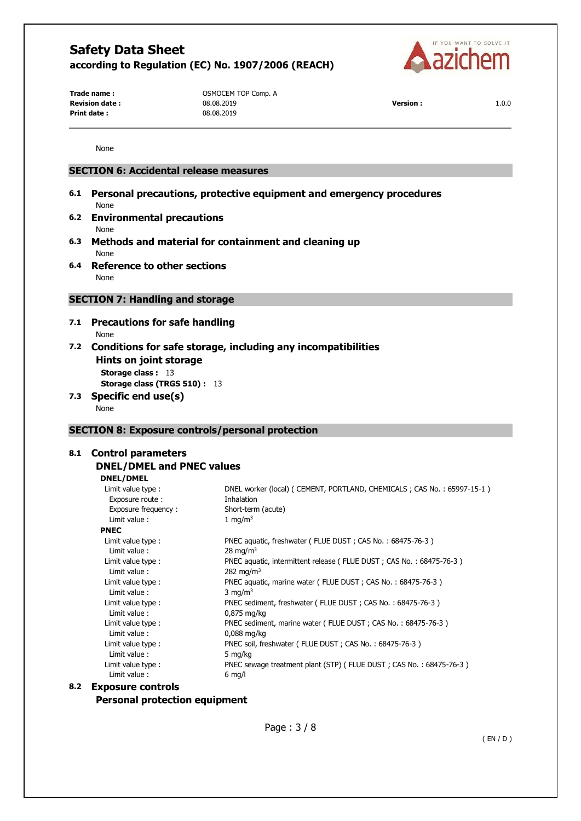

**Print date :** 08.08.2019

Trade name : **COMPLAN COMPOCEM TOP Comp. A Revision date :** 08.08.2019 **Version :** 1.0.0

None

## **SECTION 6: Accidental release measures**

- **6.1 Personal precautions, protective equipment and emergency procedures**  None
- **6.2 Environmental precautions**  None
- **6.3 Methods and material for containment and cleaning up**  None
- **6.4 Reference to other sections**  None

## **SECTION 7: Handling and storage**

- **7.1 Precautions for safe handling**  None
- **7.2 Conditions for safe storage, including any incompatibilities Hints on joint storage Storage class : 13**

**Storage class (TRGS 510) :** 13

**7.3 Specific end use(s)**  None

### **SECTION 8: Exposure controls/personal protection**

# **8.1 Control parameters**

#### **DNEL/DMEL and PNEC values DNEL/DMEL**

|     | рны регис                |                                                                            |
|-----|--------------------------|----------------------------------------------------------------------------|
|     | Limit value type :       | DNEL worker (local) ( CEMENT, PORTLAND, CHEMICALS ; CAS No. : 65997-15-1 ) |
|     | Exposure route :         | Inhalation                                                                 |
|     | Exposure frequency:      | Short-term (acute)                                                         |
|     | Limit value:             | 1 mg/m $3$                                                                 |
|     | <b>PNEC</b>              |                                                                            |
|     | Limit value type :       | PNEC aquatic, freshwater (FLUE DUST; CAS No.: 68475-76-3)                  |
|     | Limit value:             | $28 \text{ mg/m}^3$                                                        |
|     | Limit value type :       | PNEC aquatic, intermittent release (FLUE DUST; CAS No.: 68475-76-3)        |
|     | Limit value:             | 282 mg/m <sup>3</sup>                                                      |
|     | Limit value type :       | PNEC aquatic, marine water (FLUE DUST; CAS No.: 68475-76-3)                |
|     | Limit value:             | 3 mg/m <sup>3</sup>                                                        |
|     | Limit value type :       | PNEC sediment, freshwater (FLUE DUST; CAS No.: 68475-76-3)                 |
|     | Limit value:             | $0,875$ mg/kg                                                              |
|     | Limit value type :       | PNEC sediment, marine water (FLUE DUST; CAS No.: 68475-76-3)               |
|     | Limit value:             | $0.088$ mg/kg                                                              |
|     | Limit value type :       | PNEC soil, freshwater (FLUE DUST; CAS No.: 68475-76-3)                     |
|     | Limit value:             | 5 mg/kg                                                                    |
|     | Limit value type :       | PNEC sewage treatment plant (STP) (FLUE DUST; CAS No.: 68475-76-3)         |
|     | Limit value:             | $6$ mg/l                                                                   |
| 8.2 | <b>Exposure controls</b> |                                                                            |

# **Personal protection equipment**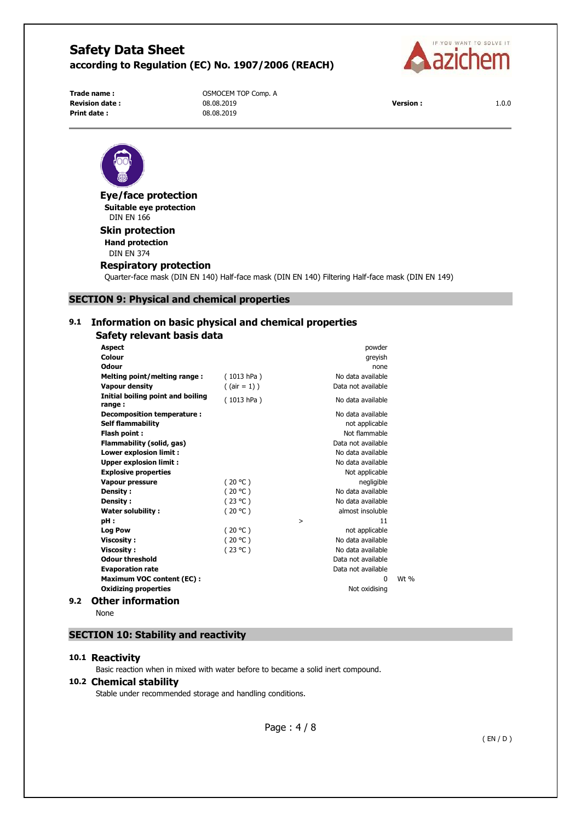

**Print date :** 08.08.2019

Trade name : **COMPLEM TOP COMPANY** OSMOCEM TOP Comp. A **Revision date :** 08.08.2019 **Version :** 1.0.0





**Eye/face protection Suitable eye protection**  DIN EN 166

#### **Skin protection Hand protection**

DIN EN 374

#### **Respiratory protection**

Quarter-face mask (DIN EN 140) Half-face mask (DIN EN 140) Filtering Half-face mask (DIN EN 149)

### **SECTION 9: Physical and chemical properties**

## **9.1 Information on basic physical and chemical properties**

| Safety relevant basis data                  |                 |                    |        |
|---------------------------------------------|-----------------|--------------------|--------|
| <b>Aspect</b>                               |                 | powder             |        |
| Colour                                      |                 | greyish            |        |
| Odour                                       |                 | none               |        |
| Melting point/melting range:                | (1013 hPa)      | No data available  |        |
| <b>Vapour density</b>                       | $($ (air = 1) ) | Data not available |        |
| Initial boiling point and boiling<br>range: | (1013 hPa)      | No data available  |        |
| Decomposition temperature:                  |                 | No data available  |        |
| <b>Self flammability</b>                    |                 | not applicable     |        |
| Flash point:                                |                 | Not flammable      |        |
| Flammability (solid, gas)                   |                 | Data not available |        |
| <b>Lower explosion limit:</b>               |                 | No data available  |        |
| <b>Upper explosion limit:</b>               |                 | No data available  |        |
| <b>Explosive properties</b>                 |                 | Not applicable     |        |
| <b>Vapour pressure</b>                      | (20 °C)         | negligible         |        |
| Density:                                    | (20 °C)         | No data available  |        |
| Density:                                    | (23 °C)         | No data available  |        |
| <b>Water solubility:</b>                    | (20 °C)         | almost insoluble   |        |
| pH:                                         |                 | 11<br>$\geq$       |        |
| <b>Log Pow</b>                              | (20 °C)         | not applicable     |        |
| <b>Viscosity:</b>                           | (20 °C)         | No data available  |        |
| <b>Viscosity:</b>                           | (23 °C)         | No data available  |        |
| <b>Odour threshold</b>                      |                 | Data not available |        |
| <b>Evaporation rate</b>                     |                 | Data not available |        |
| <b>Maximum VOC content (EC):</b>            |                 | <sup>0</sup>       | $Wt$ % |
| <b>Oxidizing properties</b>                 |                 | Not oxidising      |        |
| <b>Other information</b>                    |                 |                    |        |

None

**9.2** 

# **SECTION 10: Stability and reactivity**

#### **10.1 Reactivity**

Basic reaction when in mixed with water before to became a solid inert compound.

#### **10.2 Chemical stability**

Stable under recommended storage and handling conditions.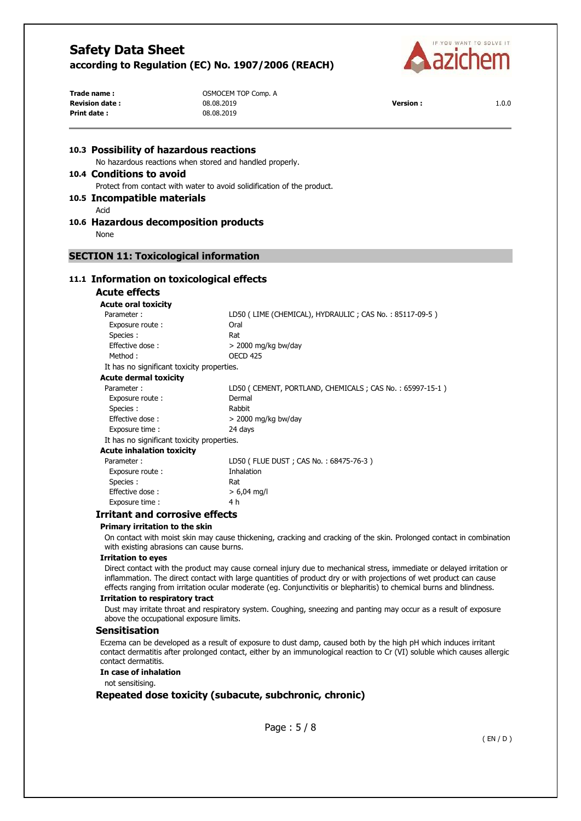

| Trade name:                                  | OSMOCEM TOP Comp. A                                                     |                                                         |       |
|----------------------------------------------|-------------------------------------------------------------------------|---------------------------------------------------------|-------|
| <b>Revision date:</b>                        | 08.08.2019                                                              | <b>Version:</b>                                         | 1.0.0 |
| Print date:                                  | 08.08.2019                                                              |                                                         |       |
| 10.3 Possibility of hazardous reactions      |                                                                         |                                                         |       |
|                                              | No hazardous reactions when stored and handled properly.                |                                                         |       |
| 10.4 Conditions to avoid                     |                                                                         |                                                         |       |
|                                              | Protect from contact with water to avoid solidification of the product. |                                                         |       |
|                                              |                                                                         |                                                         |       |
| 10.5 Incompatible materials                  |                                                                         |                                                         |       |
| Acid                                         |                                                                         |                                                         |       |
| 10.6 Hazardous decomposition products        |                                                                         |                                                         |       |
| None                                         |                                                                         |                                                         |       |
|                                              |                                                                         |                                                         |       |
| <b>SECTION 11: Toxicological information</b> |                                                                         |                                                         |       |
|                                              |                                                                         |                                                         |       |
| 11.1 Information on toxicological effects    |                                                                         |                                                         |       |
| <b>Acute effects</b>                         |                                                                         |                                                         |       |
| <b>Acute oral toxicity</b>                   |                                                                         |                                                         |       |
| Parameter:                                   | LD50 (LIME (CHEMICAL), HYDRAULIC; CAS No.: 85117-09-5)                  |                                                         |       |
| Exposure route :                             | Oral                                                                    |                                                         |       |
| Species :                                    | Rat                                                                     |                                                         |       |
| Effective dose:                              | > 2000 mg/kg bw/day                                                     |                                                         |       |
| Method:                                      | <b>OECD 425</b>                                                         |                                                         |       |
| It has no significant toxicity properties.   |                                                                         |                                                         |       |
| <b>Acute dermal toxicity</b>                 |                                                                         |                                                         |       |
| Parameter:                                   |                                                                         | LD50 (CEMENT, PORTLAND, CHEMICALS; CAS No.: 65997-15-1) |       |
| Exposure route :                             | Dermal                                                                  |                                                         |       |
| Species :                                    | Rabbit                                                                  |                                                         |       |
| Effective dose:                              | > 2000 mg/kg bw/day                                                     |                                                         |       |
| Exposure time :                              | 24 days                                                                 |                                                         |       |
| It has no significant toxicity properties.   |                                                                         |                                                         |       |
| <b>Acute inhalation toxicity</b>             |                                                                         |                                                         |       |
| Parameter:                                   | LD50 (FLUE DUST; CAS No.: 68475-76-3)                                   |                                                         |       |
| Exposure route :                             | Inhalation                                                              |                                                         |       |
| Species :                                    | Rat                                                                     |                                                         |       |
| Effective dose:                              | $> 6,04$ mg/l                                                           |                                                         |       |
| Exposure time:                               | 4 h                                                                     |                                                         |       |
| Trritant and corrocivo offocte               |                                                                         |                                                         |       |

#### **Irritant and corrosive effects**

#### **Primary irritation to the skin**

On contact with moist skin may cause thickening, cracking and cracking of the skin. Prolonged contact in combination with existing abrasions can cause burns.

#### **Irritation to eyes**

Direct contact with the product may cause corneal injury due to mechanical stress, immediate or delayed irritation or inflammation. The direct contact with large quantities of product dry or with projections of wet product can cause effects ranging from irritation ocular moderate (eg. Conjunctivitis or blepharitis) to chemical burns and blindness.

#### **Irritation to respiratory tract**

Dust may irritate throat and respiratory system. Coughing, sneezing and panting may occur as a result of exposure above the occupational exposure limits.

#### **Sensitisation**

Eczema can be developed as a result of exposure to dust damp, caused both by the high pH which induces irritant contact dermatitis after prolonged contact, either by an immunological reaction to Cr (VI) soluble which causes allergic contact dermatitis.

#### **In case of inhalation**

not sensitising.

### **Repeated dose toxicity (subacute, subchronic, chronic)**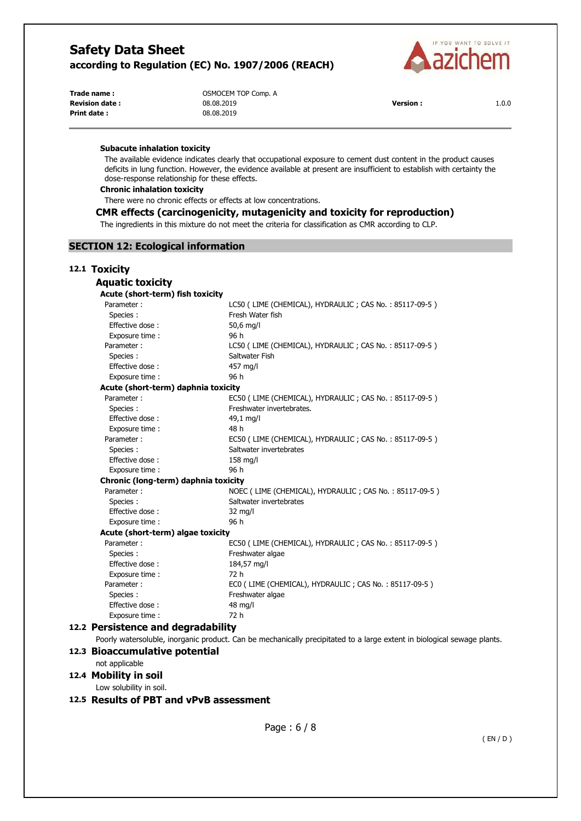

**Print date :** 08.08.2019

Trade name : **COMPLEM TOP COMPANY** OSMOCEM TOP Comp. A **Revision date :** 08.08.2019 **Version :** 1.0.0

#### **Subacute inhalation toxicity**

The available evidence indicates clearly that occupational exposure to cement dust content in the product causes deficits in lung function. However, the evidence available at present are insufficient to establish with certainty the dose-response relationship for these effects.

#### **Chronic inhalation toxicity**

There were no chronic effects or effects at low concentrations.

### **CMR effects (carcinogenicity, mutagenicity and toxicity for reproduction)**

The ingredients in this mixture do not meet the criteria for classification as CMR according to CLP.

#### **SECTION 12: Ecological information**

| 12.1 Toxicity                        |                                                                                                          |  |  |
|--------------------------------------|----------------------------------------------------------------------------------------------------------|--|--|
| <b>Aquatic toxicity</b>              |                                                                                                          |  |  |
| Acute (short-term) fish toxicity     |                                                                                                          |  |  |
| Parameter:                           | LC50 (LIME (CHEMICAL), HYDRAULIC; CAS No.: 85117-09-5)                                                   |  |  |
| Species:                             | Fresh Water fish                                                                                         |  |  |
| Effective dose:                      | 50,6 mg/l                                                                                                |  |  |
| Exposure time :                      | 96 h                                                                                                     |  |  |
| Parameter:                           | LC50 (LIME (CHEMICAL), HYDRAULIC; CAS No.: 85117-09-5)                                                   |  |  |
| Species:                             | Saltwater Fish                                                                                           |  |  |
| Effective dose:                      | 457 mg/l                                                                                                 |  |  |
| Exposure time :                      | 96 h                                                                                                     |  |  |
|                                      | Acute (short-term) daphnia toxicity                                                                      |  |  |
| Parameter:                           | EC50 (LIME (CHEMICAL), HYDRAULIC; CAS No.: 85117-09-5)                                                   |  |  |
| Species:                             | Freshwater invertebrates.                                                                                |  |  |
| Effective dose:                      | 49,1 mg/l                                                                                                |  |  |
| Exposure time:                       | 48 h                                                                                                     |  |  |
| Parameter:                           | EC50 (LIME (CHEMICAL), HYDRAULIC; CAS No.: 85117-09-5)                                                   |  |  |
| Species:                             | Saltwater invertebrates                                                                                  |  |  |
| Effective dose:                      | $158$ mg/l                                                                                               |  |  |
| Exposure time:                       | 96 h                                                                                                     |  |  |
| Chronic (long-term) daphnia toxicity |                                                                                                          |  |  |
| Parameter:                           | NOEC (LIME (CHEMICAL), HYDRAULIC; CAS No.: 85117-09-5)                                                   |  |  |
| Species:                             | Saltwater invertebrates                                                                                  |  |  |
| Effective dose:                      | $32 \text{ mg/l}$                                                                                        |  |  |
| Exposure time:                       | 96 h                                                                                                     |  |  |
|                                      | Acute (short-term) algae toxicity                                                                        |  |  |
| Parameter:                           | EC50 (LIME (CHEMICAL), HYDRAULIC; CAS No.: 85117-09-5)                                                   |  |  |
| Species:                             | Freshwater algae                                                                                         |  |  |
| Effective dose:                      | 184,57 mg/l                                                                                              |  |  |
| Exposure time:                       | 72 h                                                                                                     |  |  |
| Parameter:                           | ECO (LIME (CHEMICAL), HYDRAULIC; CAS No.: 85117-09-5)                                                    |  |  |
| Species:                             | Freshwater algae                                                                                         |  |  |
| Effective dose:                      | 48 mg/l                                                                                                  |  |  |
| Exposure time:                       | 72 h                                                                                                     |  |  |
| 12.2 Persistence and degradability   |                                                                                                          |  |  |
|                                      | Poorly watersoluble, inorganic product. Can be mechanically precipitated to a large extent in biological |  |  |

#### **12.3 Bioaccumulative potential**

not applicable

### **12.4 Mobility in soil**

Low solubility in soil.

### **12.5 Results of PBT and vPvB assessment**

sewage plants.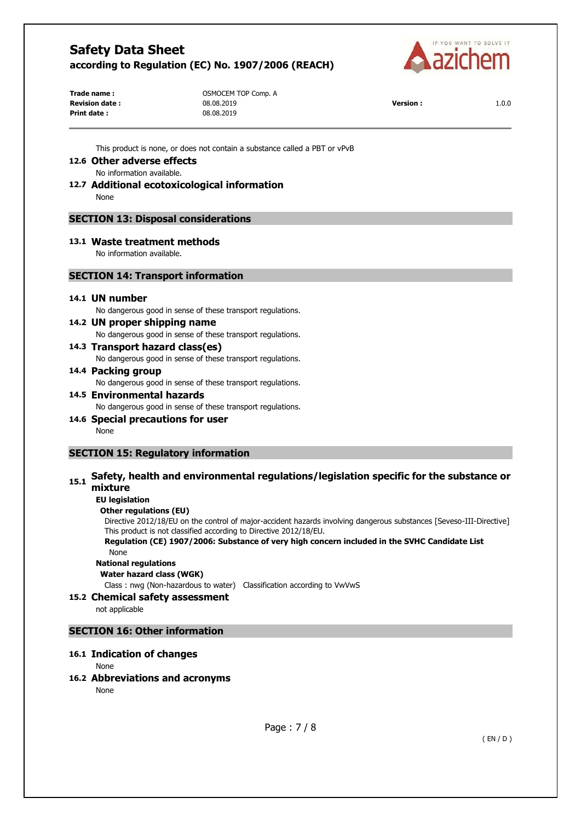

**Trade name :** OSMOCEM TOP Comp. A **Print date :** 08.08.2019

**Revision date :** 08.08.2019 **Version :** 1.0.0

This product is none, or does not contain a substance called a PBT or vPvB

## **12.6 Other adverse effects**

No information available.

#### **12.7 Additional ecotoxicological information**  None

## **SECTION 13: Disposal considerations**

## **13.1 Waste treatment methods**

No information available.

### **SECTION 14: Transport information**

#### **14.1 UN number**

No dangerous good in sense of these transport regulations.

### **14.2 UN proper shipping name**

No dangerous good in sense of these transport regulations.

## **14.3 Transport hazard class(es)**

No dangerous good in sense of these transport regulations.

#### **14.4 Packing group**

No dangerous good in sense of these transport regulations.

# **14.5 Environmental hazards**  No dangerous good in sense of these transport regulations.

**14.6 Special precautions for user**  None

## **SECTION 15: Regulatory information**

# **15.1** Safety, health and environmental regulations/legislation specific for the substance or **mixture**

#### **EU legislation**

### **Other regulations (EU)**

Directive 2012/18/EU on the control of major-accident hazards involving dangerous substances [Seveso-III-Directive] This product is not classified according to Directive 2012/18/EU.

#### **Regulation (CE) 1907/2006: Substance of very high concern included in the SVHC Candidate List**  None

**National regulations** 

# **Water hazard class (WGK)**

Class : nwg (Non-hazardous to water) Classification according to VwVwS

### **15.2 Chemical safety assessment**

not applicable

## **SECTION 16: Other information**

### **16.1 Indication of changes**

None

### **16.2 Abbreviations and acronyms**

None